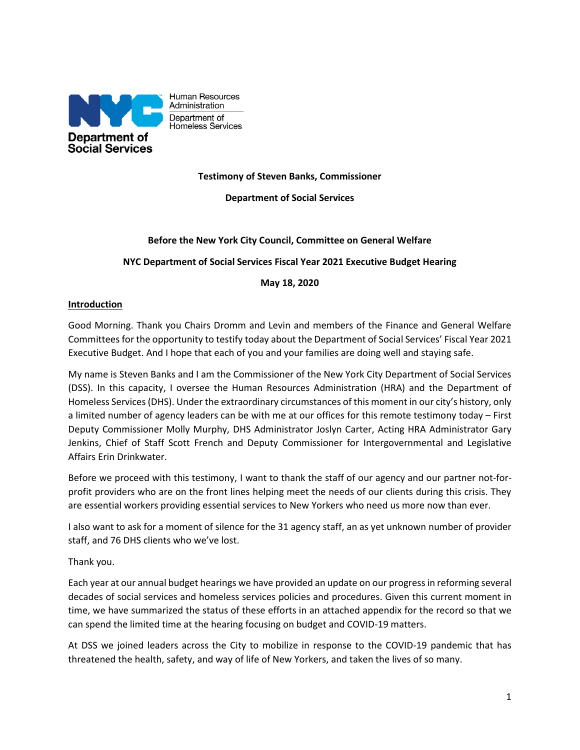

Human Resources Administration Department of Homeless Services

**Testimony of Steven Banks, Commissioner**

**Department of Social Services**

### **Before the New York City Council, Committee on General Welfare**

### **NYC Department of Social Services Fiscal Year 2021 Executive Budget Hearing**

#### **May 18, 2020**

#### **Introduction**

Good Morning. Thank you Chairs Dromm and Levin and members of the Finance and General Welfare Committees for the opportunity to testify today about the Department of Social Services' Fiscal Year 2021 Executive Budget. And I hope that each of you and your families are doing well and staying safe.

My name is Steven Banks and I am the Commissioner of the New York City Department of Social Services (DSS). In this capacity, I oversee the Human Resources Administration (HRA) and the Department of Homeless Services (DHS). Under the extraordinary circumstances of this moment in our city's history, only a limited number of agency leaders can be with me at our offices for this remote testimony today – First Deputy Commissioner Molly Murphy, DHS Administrator Joslyn Carter, Acting HRA Administrator Gary Jenkins, Chief of Staff Scott French and Deputy Commissioner for Intergovernmental and Legislative Affairs Erin Drinkwater.

Before we proceed with this testimony, I want to thank the staff of our agency and our partner not-forprofit providers who are on the front lines helping meet the needs of our clients during this crisis. They are essential workers providing essential services to New Yorkers who need us more now than ever.

I also want to ask for a moment of silence for the 31 agency staff, an as yet unknown number of provider staff, and 76 DHS clients who we've lost.

#### Thank you.

Each year at our annual budget hearings we have provided an update on our progress in reforming several decades of social services and homeless services policies and procedures. Given this current moment in time, we have summarized the status of these efforts in an attached appendix for the record so that we can spend the limited time at the hearing focusing on budget and COVID-19 matters.

At DSS we joined leaders across the City to mobilize in response to the COVID-19 pandemic that has threatened the health, safety, and way of life of New Yorkers, and taken the lives of so many.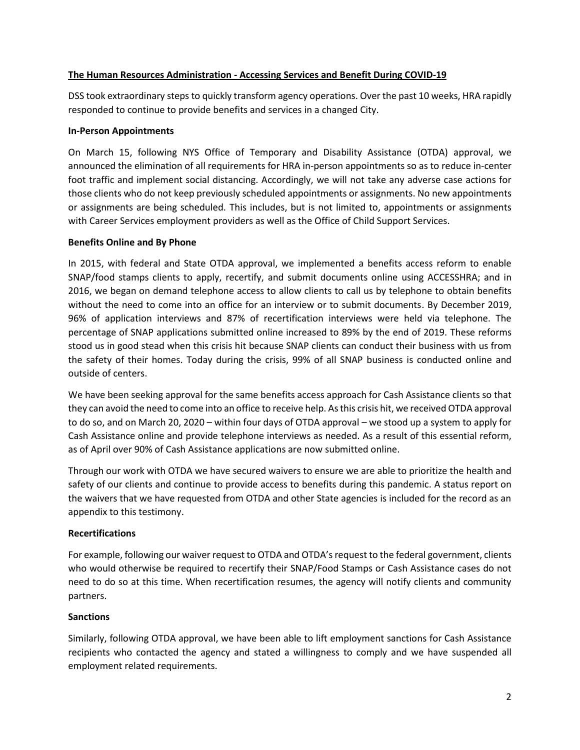#### **The Human Resources Administration - Accessing Services and Benefit During COVID-19**

DSS took extraordinary steps to quickly transform agency operations. Over the past 10 weeks, HRA rapidly responded to continue to provide benefits and services in a changed City.

#### **In-Person Appointments**

On March 15, following NYS Office of Temporary and Disability Assistance (OTDA) approval, we announced the elimination of all requirements for HRA in-person appointments so as to reduce in-center foot traffic and implement social distancing. Accordingly, we will not take any adverse case actions for those clients who do not keep previously scheduled appointments or assignments. No new appointments or assignments are being scheduled. This includes, but is not limited to, appointments or assignments with Career Services employment providers as well as the Office of Child Support Services.

### **Benefits Online and By Phone**

In 2015, with federal and State OTDA approval, we implemented a benefits access reform to enable SNAP/food stamps clients to apply, recertify, and submit documents online using ACCESSHRA; and in 2016, we began on demand telephone access to allow clients to call us by telephone to obtain benefits without the need to come into an office for an interview or to submit documents. By December 2019, 96% of application interviews and 87% of recertification interviews were held via telephone. The percentage of SNAP applications submitted online increased to 89% by the end of 2019. These reforms stood us in good stead when this crisis hit because SNAP clients can conduct their business with us from the safety of their homes. Today during the crisis, 99% of all SNAP business is conducted online and outside of centers.

We have been seeking approval for the same benefits access approach for Cash Assistance clients so that they can avoid the need to come into an office to receive help. As this crisis hit, we received OTDA approval to do so, and on March 20, 2020 – within four days of OTDA approval – we stood up a system to apply for Cash Assistance online and provide telephone interviews as needed. As a result of this essential reform, as of April over 90% of Cash Assistance applications are now submitted online.

Through our work with OTDA we have secured waivers to ensure we are able to prioritize the health and safety of our clients and continue to provide access to benefits during this pandemic. A status report on the waivers that we have requested from OTDA and other State agencies is included for the record as an appendix to this testimony.

#### **Recertifications**

For example, following our waiver request to OTDA and OTDA's request to the federal government, clients who would otherwise be required to recertify their SNAP/Food Stamps or Cash Assistance cases do not need to do so at this time. When recertification resumes, the agency will notify clients and community partners.

### **Sanctions**

Similarly, following OTDA approval, we have been able to lift employment sanctions for Cash Assistance recipients who contacted the agency and stated a willingness to comply and we have suspended all employment related requirements.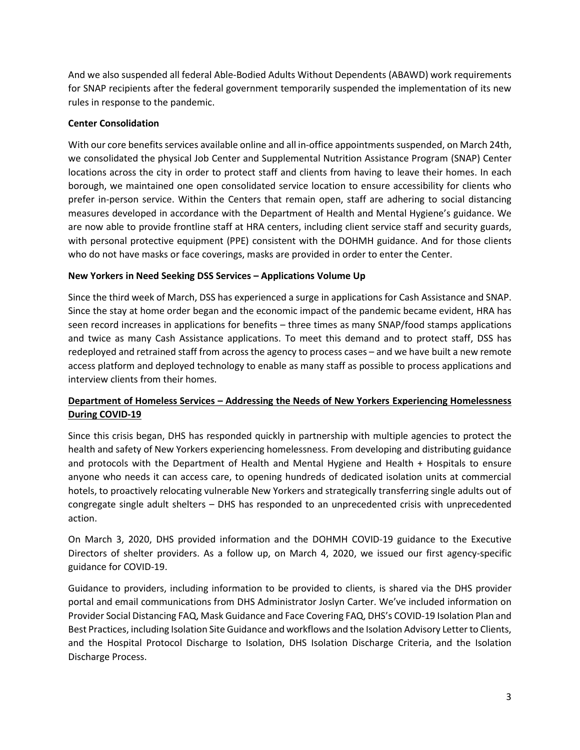And we also suspended all federal Able-Bodied Adults Without Dependents (ABAWD) work requirements for SNAP recipients after the federal government temporarily suspended the implementation of its new rules in response to the pandemic.

### **Center Consolidation**

With our core benefits services available online and all in-office appointments suspended, on March 24th, we consolidated the physical Job Center and Supplemental Nutrition Assistance Program (SNAP) Center locations across the city in order to protect staff and clients from having to leave their homes. In each borough, we maintained one open consolidated service location to ensure accessibility for clients who prefer in-person service. Within the Centers that remain open, staff are adhering to social distancing measures developed in accordance with the Department of Health and Mental Hygiene's guidance. We are now able to provide frontline staff at HRA centers, including client service staff and security guards, with personal protective equipment (PPE) consistent with the DOHMH guidance. And for those clients who do not have masks or face coverings, masks are provided in order to enter the Center.

### **New Yorkers in Need Seeking DSS Services – Applications Volume Up**

Since the third week of March, DSS has experienced a surge in applications for Cash Assistance and SNAP. Since the stay at home order began and the economic impact of the pandemic became evident, HRA has seen record increases in applications for benefits – three times as many SNAP/food stamps applications and twice as many Cash Assistance applications. To meet this demand and to protect staff, DSS has redeployed and retrained staff from across the agency to process cases – and we have built a new remote access platform and deployed technology to enable as many staff as possible to process applications and interview clients from their homes.

# **Department of Homeless Services – Addressing the Needs of New Yorkers Experiencing Homelessness During COVID-19**

Since this crisis began, DHS has responded quickly in partnership with multiple agencies to protect the health and safety of New Yorkers experiencing homelessness. From developing and distributing guidance and protocols with the Department of Health and Mental Hygiene and Health + Hospitals to ensure anyone who needs it can access care, to opening hundreds of dedicated isolation units at commercial hotels, to proactively relocating vulnerable New Yorkers and strategically transferring single adults out of congregate single adult shelters – DHS has responded to an unprecedented crisis with unprecedented action.

On March 3, 2020, DHS provided information and the DOHMH COVID-19 guidance to the Executive Directors of shelter providers. As a follow up, on March 4, 2020, we issued our first agency-specific guidance for COVID-19.

Guidance to providers, including information to be provided to clients, is shared via the DHS provider portal and email communications from DHS Administrator Joslyn Carter. We've included information on Provider Social Distancing FAQ, Mask Guidance and Face Covering FAQ, DHS's COVID-19 Isolation Plan and Best Practices, including Isolation Site Guidance and workflows and the Isolation Advisory Letter to Clients, and the Hospital Protocol Discharge to Isolation, DHS Isolation Discharge Criteria, and the Isolation Discharge Process.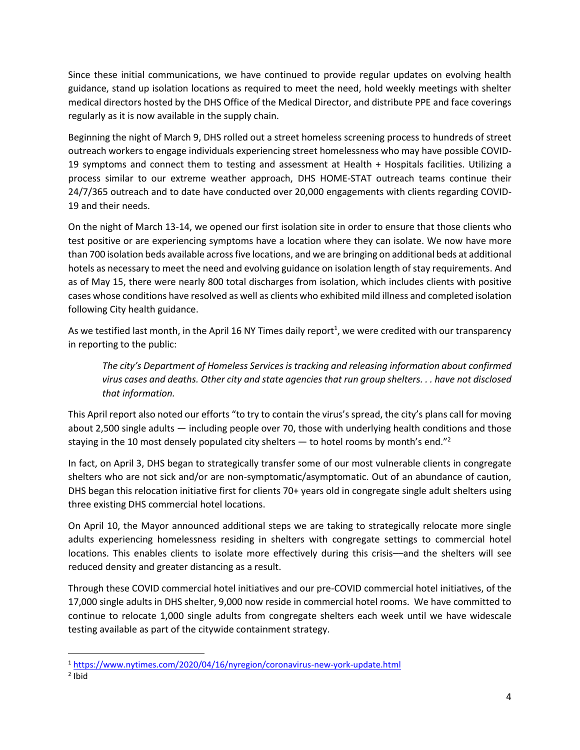Since these initial communications, we have continued to provide regular updates on evolving health guidance, stand up isolation locations as required to meet the need, hold weekly meetings with shelter medical directors hosted by the DHS Office of the Medical Director, and distribute PPE and face coverings regularly as it is now available in the supply chain.

Beginning the night of March 9, DHS rolled out a street homeless screening process to hundreds of street outreach workers to engage individuals experiencing street homelessness who may have possible COVID-19 symptoms and connect them to testing and assessment at Health + Hospitals facilities. Utilizing a process similar to our extreme weather approach, DHS HOME-STAT outreach teams continue their 24/7/365 outreach and to date have conducted over 20,000 engagements with clients regarding COVID-19 and their needs.

On the night of March 13-14, we opened our first isolation site in order to ensure that those clients who test positive or are experiencing symptoms have a location where they can isolate. We now have more than 700 isolation beds available across five locations, and we are bringing on additional beds at additional hotels as necessary to meet the need and evolving guidance on isolation length of stay requirements. And as of May 15, there were nearly 800 total discharges from isolation, which includes clients with positive cases whose conditions have resolved as well as clients who exhibited mild illness and completed isolation following City health guidance.

As we testified last month, in the April 16 NY Times daily report<sup>1</sup>, we were credited with our transparency in reporting to the public:

*The city's Department of Homeless Services is tracking and releasing information about confirmed virus cases and deaths. Other city and state agencies that run group shelters. . . have not disclosed that information.*

This April report also noted our efforts "to try to contain the virus's spread, the city's plans call for moving about 2,500 single adults — including people over 70, those with underlying health conditions and those staying in the 10 most densely populated city shelters  $-$  to hotel rooms by month's end."<sup>2</sup>

In fact, on April 3, DHS began to strategically transfer some of our most vulnerable clients in congregate shelters who are not sick and/or are non-symptomatic/asymptomatic. Out of an abundance of caution, DHS began this relocation initiative first for clients 70+ years old in congregate single adult shelters using three existing DHS commercial hotel locations.

On April 10, the Mayor announced additional steps we are taking to strategically relocate more single adults experiencing homelessness residing in shelters with congregate settings to commercial hotel locations. This enables clients to isolate more effectively during this crisis––and the shelters will see reduced density and greater distancing as a result.

Through these COVID commercial hotel initiatives and our pre-COVID commercial hotel initiatives, of the 17,000 single adults in DHS shelter, 9,000 now reside in commercial hotel rooms. We have committed to continue to relocate 1,000 single adults from congregate shelters each week until we have widescale testing available as part of the citywide containment strategy.

 $\overline{\phantom{a}}$ 

<sup>&</sup>lt;sup>1</sup> <https://www.nytimes.com/2020/04/16/nyregion/coronavirus-new-york-update.html>

<sup>2</sup> Ibid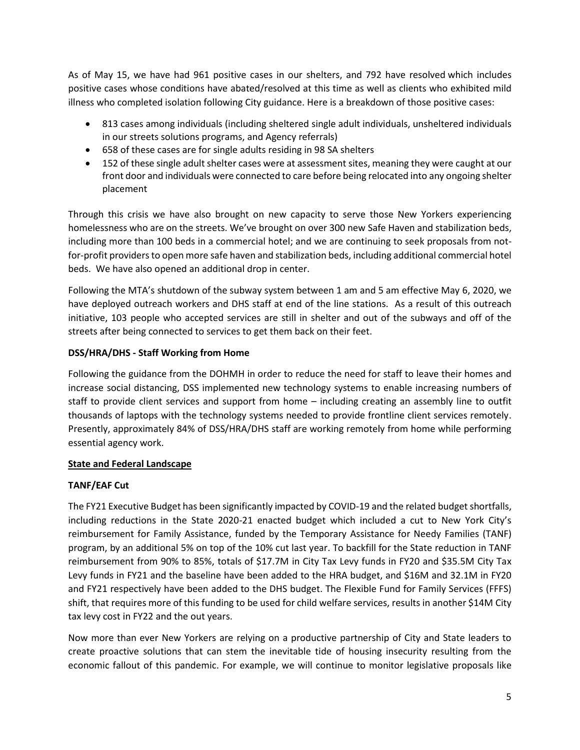As of May 15, we have had 961 positive cases in our shelters, and 792 have resolved which includes positive cases whose conditions have abated/resolved at this time as well as clients who exhibited mild illness who completed isolation following City guidance. Here is a breakdown of those positive cases:

- 813 cases among individuals (including sheltered single adult individuals, unsheltered individuals in our streets solutions programs, and Agency referrals)
- 658 of these cases are for single adults residing in 98 SA shelters
- 152 of these single adult shelter cases were at assessment sites, meaning they were caught at our front door and individuals were connected to care before being relocated into any ongoing shelter placement

Through this crisis we have also brought on new capacity to serve those New Yorkers experiencing homelessness who are on the streets. We've brought on over 300 new Safe Haven and stabilization beds, including more than 100 beds in a commercial hotel; and we are continuing to seek proposals from notfor-profit providers to open more safe haven and stabilization beds, including additional commercial hotel beds. We have also opened an additional drop in center.

Following the MTA's shutdown of the subway system between 1 am and 5 am effective May 6, 2020, we have deployed outreach workers and DHS staff at end of the line stations. As a result of this outreach initiative, 103 people who accepted services are still in shelter and out of the subways and off of the streets after being connected to services to get them back on their feet.

### **DSS/HRA/DHS - Staff Working from Home**

Following the guidance from the DOHMH in order to reduce the need for staff to leave their homes and increase social distancing, DSS implemented new technology systems to enable increasing numbers of staff to provide client services and support from home – including creating an assembly line to outfit thousands of laptops with the technology systems needed to provide frontline client services remotely. Presently, approximately 84% of DSS/HRA/DHS staff are working remotely from home while performing essential agency work.

### **State and Federal Landscape**

### **TANF/EAF Cut**

The FY21 Executive Budget has been significantly impacted by COVID-19 and the related budget shortfalls, including reductions in the State 2020-21 enacted budget which included a cut to New York City's reimbursement for Family Assistance, funded by the Temporary Assistance for Needy Families (TANF) program, by an additional 5% on top of the 10% cut last year. To backfill for the State reduction in TANF reimbursement from 90% to 85%, totals of \$17.7M in City Tax Levy funds in FY20 and \$35.5M City Tax Levy funds in FY21 and the baseline have been added to the HRA budget, and \$16M and 32.1M in FY20 and FY21 respectively have been added to the DHS budget. The Flexible Fund for Family Services (FFFS) shift, that requires more of this funding to be used for child welfare services, results in another \$14M City tax levy cost in FY22 and the out years.

Now more than ever New Yorkers are relying on a productive partnership of City and State leaders to create proactive solutions that can stem the inevitable tide of housing insecurity resulting from the economic fallout of this pandemic. For example, we will continue to monitor legislative proposals like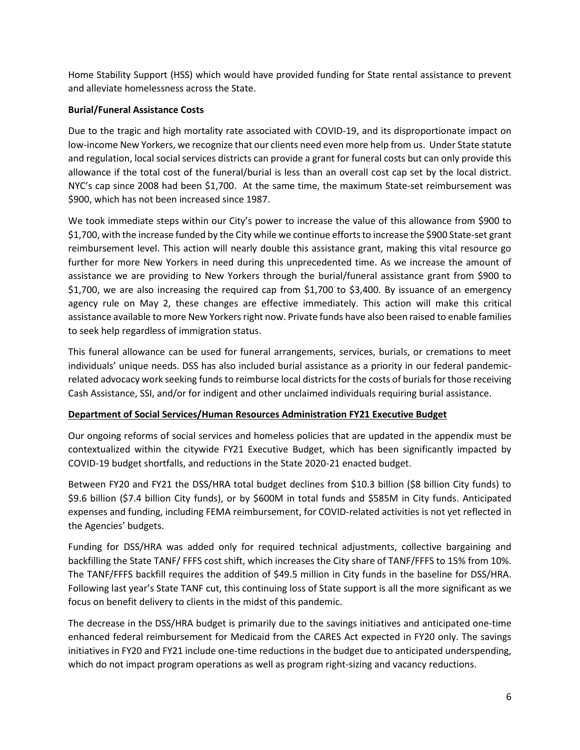Home Stability Support (HSS) which would have provided funding for State rental assistance to prevent and alleviate homelessness across the State.

### **Burial/Funeral Assistance Costs**

Due to the tragic and high mortality rate associated with COVID-19, and its disproportionate impact on low-income New Yorkers, we recognize that our clients need even more help from us. Under State statute and regulation, local social services districts can provide a grant for funeral costs but can only provide this allowance if the total cost of the funeral/burial is less than an overall cost cap set by the local district. NYC's cap since 2008 had been \$1,700. At the same time, the maximum State-set reimbursement was \$900, which has not been increased since 1987.

We took immediate steps within our City's power to increase the value of this allowance from \$900 to \$1,700, with the increase funded by the City while we continue efforts to increase the \$900 State-set grant reimbursement level. This action will nearly double this assistance grant, making this vital resource go further for more New Yorkers in need during this unprecedented time. As we increase the amount of assistance we are providing to New Yorkers through the burial/funeral assistance grant from \$900 to \$1,700, we are also increasing the required cap from \$1,700 to \$3,400. By issuance of an emergency agency rule on May 2, these changes are effective immediately. This action will make this critical assistance available to more New Yorkers right now. Private funds have also been raised to enable families to seek help regardless of immigration status.

This funeral allowance can be used for funeral arrangements, services, burials, or cremations to meet individuals' unique needs. DSS has also included burial assistance as a priority in our federal pandemicrelated advocacy work seeking funds to reimburse local districts for the costs of burials for those receiving Cash Assistance, SSI, and/or for indigent and other unclaimed individuals requiring burial assistance.

#### **Department of Social Services/Human Resources Administration FY21 Executive Budget**

Our ongoing reforms of social services and homeless policies that are updated in the appendix must be contextualized within the citywide FY21 Executive Budget, which has been significantly impacted by COVID-19 budget shortfalls, and reductions in the State 2020-21 enacted budget.

Between FY20 and FY21 the DSS/HRA total budget declines from \$10.3 billion (\$8 billion City funds) to \$9.6 billion (\$7.4 billion City funds), or by \$600M in total funds and \$585M in City funds. Anticipated expenses and funding, including FEMA reimbursement, for COVID-related activities is not yet reflected in the Agencies' budgets.

Funding for DSS/HRA was added only for required technical adjustments, collective bargaining and backfilling the State TANF/ FFFS cost shift, which increases the City share of TANF/FFFS to 15% from 10%. The TANF/FFFS backfill requires the addition of \$49.5 million in City funds in the baseline for DSS/HRA. Following last year's State TANF cut, this continuing loss of State support is all the more significant as we focus on benefit delivery to clients in the midst of this pandemic.

The decrease in the DSS/HRA budget is primarily due to the savings initiatives and anticipated one-time enhanced federal reimbursement for Medicaid from the CARES Act expected in FY20 only. The savings initiatives in FY20 and FY21 include one-time reductions in the budget due to anticipated underspending, which do not impact program operations as well as program right-sizing and vacancy reductions.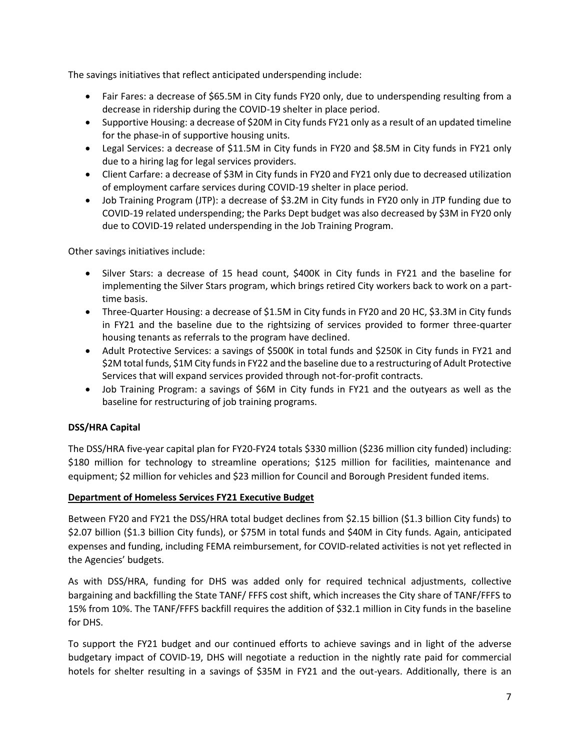The savings initiatives that reflect anticipated underspending include:

- Fair Fares: a decrease of \$65.5M in City funds FY20 only, due to underspending resulting from a decrease in ridership during the COVID-19 shelter in place period.
- Supportive Housing: a decrease of \$20M in City funds FY21 only as a result of an updated timeline for the phase-in of supportive housing units.
- Legal Services: a decrease of \$11.5M in City funds in FY20 and \$8.5M in City funds in FY21 only due to a hiring lag for legal services providers.
- Client Carfare: a decrease of \$3M in City funds in FY20 and FY21 only due to decreased utilization of employment carfare services during COVID-19 shelter in place period.
- Job Training Program (JTP): a decrease of \$3.2M in City funds in FY20 only in JTP funding due to COVID-19 related underspending; the Parks Dept budget was also decreased by \$3M in FY20 only due to COVID-19 related underspending in the Job Training Program.

Other savings initiatives include:

- Silver Stars: a decrease of 15 head count, \$400K in City funds in FY21 and the baseline for implementing the Silver Stars program, which brings retired City workers back to work on a parttime basis.
- Three-Quarter Housing: a decrease of \$1.5M in City funds in FY20 and 20 HC, \$3.3M in City funds in FY21 and the baseline due to the rightsizing of services provided to former three-quarter housing tenants as referrals to the program have declined.
- Adult Protective Services: a savings of \$500K in total funds and \$250K in City funds in FY21 and \$2M total funds, \$1M City funds in FY22 and the baseline due to a restructuring of Adult Protective Services that will expand services provided through not-for-profit contracts.
- Job Training Program: a savings of \$6M in City funds in FY21 and the outyears as well as the baseline for restructuring of job training programs.

### **DSS/HRA Capital**

The DSS/HRA five-year capital plan for FY20-FY24 totals \$330 million (\$236 million city funded) including: \$180 million for technology to streamline operations; \$125 million for facilities, maintenance and equipment; \$2 million for vehicles and \$23 million for Council and Borough President funded items.

### **Department of Homeless Services FY21 Executive Budget**

Between FY20 and FY21 the DSS/HRA total budget declines from \$2.15 billion (\$1.3 billion City funds) to \$2.07 billion (\$1.3 billion City funds), or \$75M in total funds and \$40M in City funds. Again, anticipated expenses and funding, including FEMA reimbursement, for COVID-related activities is not yet reflected in the Agencies' budgets.

As with DSS/HRA, funding for DHS was added only for required technical adjustments, collective bargaining and backfilling the State TANF/ FFFS cost shift, which increases the City share of TANF/FFFS to 15% from 10%. The TANF/FFFS backfill requires the addition of \$32.1 million in City funds in the baseline for DHS.

To support the FY21 budget and our continued efforts to achieve savings and in light of the adverse budgetary impact of COVID-19, DHS will negotiate a reduction in the nightly rate paid for commercial hotels for shelter resulting in a savings of \$35M in FY21 and the out-years. Additionally, there is an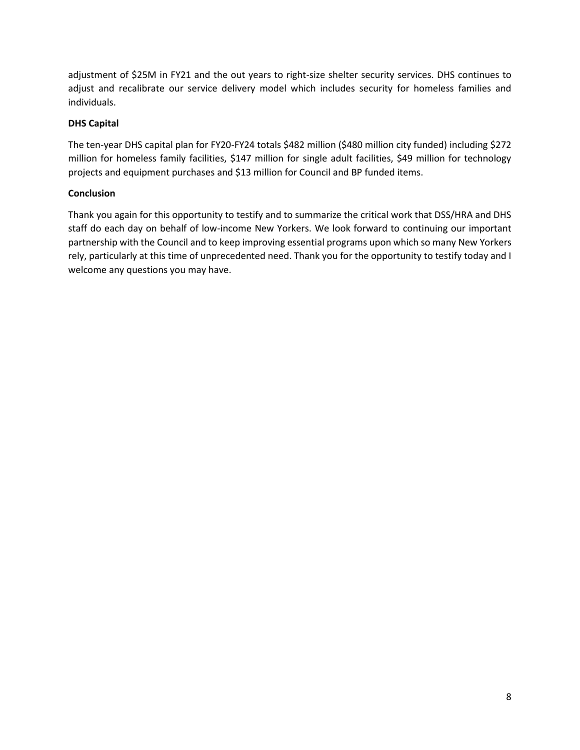adjustment of \$25M in FY21 and the out years to right-size shelter security services. DHS continues to adjust and recalibrate our service delivery model which includes security for homeless families and individuals.

### **DHS Capital**

The ten-year DHS capital plan for FY20-FY24 totals \$482 million (\$480 million city funded) including \$272 million for homeless family facilities, \$147 million for single adult facilities, \$49 million for technology projects and equipment purchases and \$13 million for Council and BP funded items.

### **Conclusion**

Thank you again for this opportunity to testify and to summarize the critical work that DSS/HRA and DHS staff do each day on behalf of low-income New Yorkers. We look forward to continuing our important partnership with the Council and to keep improving essential programs upon which so many New Yorkers rely, particularly at this time of unprecedented need. Thank you for the opportunity to testify today and I welcome any questions you may have.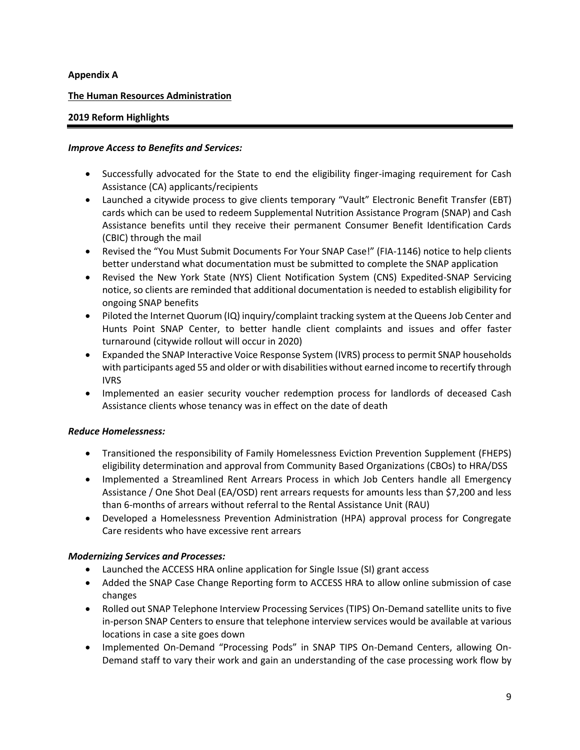### **Appendix A**

### **The Human Resources Administration**

#### **2019 Reform Highlights**

#### *Improve Access to Benefits and Services:*

- Successfully advocated for the State to end the eligibility finger-imaging requirement for Cash Assistance (CA) applicants/recipients
- Launched a citywide process to give clients temporary "Vault" Electronic Benefit Transfer (EBT) cards which can be used to redeem Supplemental Nutrition Assistance Program (SNAP) and Cash Assistance benefits until they receive their permanent Consumer Benefit Identification Cards (CBIC) through the mail
- Revised the "You Must Submit Documents For Your SNAP Case!" (FIA-1146) notice to help clients better understand what documentation must be submitted to complete the SNAP application
- Revised the New York State (NYS) Client Notification System (CNS) Expedited-SNAP Servicing notice, so clients are reminded that additional documentation is needed to establish eligibility for ongoing SNAP benefits
- Piloted the Internet Quorum (IQ) inquiry/complaint tracking system at the Queens Job Center and Hunts Point SNAP Center, to better handle client complaints and issues and offer faster turnaround (citywide rollout will occur in 2020)
- Expanded the SNAP Interactive Voice Response System (IVRS) process to permit SNAP households with participants aged 55 and older or with disabilities without earned income to recertify through IVRS
- Implemented an easier security voucher redemption process for landlords of deceased Cash Assistance clients whose tenancy was in effect on the date of death

#### *Reduce Homelessness:*

- Transitioned the responsibility of Family Homelessness Eviction Prevention Supplement (FHEPS) eligibility determination and approval from Community Based Organizations (CBOs) to HRA/DSS
- Implemented a Streamlined Rent Arrears Process in which Job Centers handle all Emergency Assistance / One Shot Deal (EA/OSD) rent arrears requests for amounts less than \$7,200 and less than 6-months of arrears without referral to the Rental Assistance Unit (RAU)
- Developed a Homelessness Prevention Administration (HPA) approval process for Congregate Care residents who have excessive rent arrears

### *Modernizing Services and Processes:*

- Launched the ACCESS HRA online application for Single Issue (SI) grant access
- Added the SNAP Case Change Reporting form to ACCESS HRA to allow online submission of case changes
- Rolled out SNAP Telephone Interview Processing Services (TIPS) On-Demand satellite units to five in-person SNAP Centers to ensure that telephone interview services would be available at various locations in case a site goes down
- Implemented On-Demand "Processing Pods" in SNAP TIPS On-Demand Centers, allowing On-Demand staff to vary their work and gain an understanding of the case processing work flow by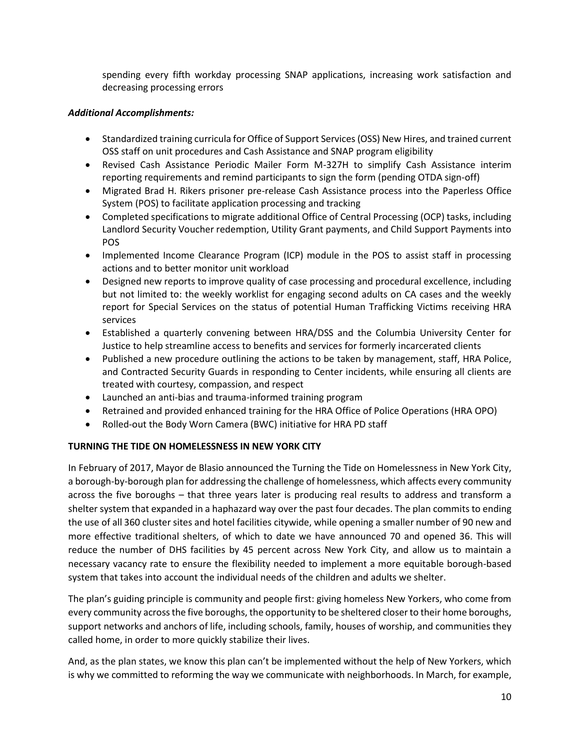spending every fifth workday processing SNAP applications, increasing work satisfaction and decreasing processing errors

### *Additional Accomplishments:*

- Standardized training curricula for Office of Support Services (OSS) New Hires, and trained current OSS staff on unit procedures and Cash Assistance and SNAP program eligibility
- Revised Cash Assistance Periodic Mailer Form M-327H to simplify Cash Assistance interim reporting requirements and remind participants to sign the form (pending OTDA sign-off)
- Migrated Brad H. Rikers prisoner pre-release Cash Assistance process into the Paperless Office System (POS) to facilitate application processing and tracking
- Completed specifications to migrate additional Office of Central Processing (OCP) tasks, including Landlord Security Voucher redemption, Utility Grant payments, and Child Support Payments into POS
- Implemented Income Clearance Program (ICP) module in the POS to assist staff in processing actions and to better monitor unit workload
- Designed new reports to improve quality of case processing and procedural excellence, including but not limited to: the weekly worklist for engaging second adults on CA cases and the weekly report for Special Services on the status of potential Human Trafficking Victims receiving HRA services
- Established a quarterly convening between HRA/DSS and the Columbia University Center for Justice to help streamline access to benefits and services for formerly incarcerated clients
- Published a new procedure outlining the actions to be taken by management, staff, HRA Police, and Contracted Security Guards in responding to Center incidents, while ensuring all clients are treated with courtesy, compassion, and respect
- Launched an anti-bias and trauma-informed training program
- Retrained and provided enhanced training for the HRA Office of Police Operations (HRA OPO)
- Rolled-out the Body Worn Camera (BWC) initiative for HRA PD staff

### **TURNING THE TIDE ON HOMELESSNESS IN NEW YORK CITY**

In February of 2017, Mayor de Blasio announced the Turning the Tide on Homelessness in New York City, a borough-by-borough plan for addressing the challenge of homelessness, which affects every community across the five boroughs – that three years later is producing real results to address and transform a shelter system that expanded in a haphazard way over the past four decades. The plan commits to ending the use of all 360 cluster sites and hotel facilities citywide, while opening a smaller number of 90 new and more effective traditional shelters, of which to date we have announced 70 and opened 36. This will reduce the number of DHS facilities by 45 percent across New York City, and allow us to maintain a necessary vacancy rate to ensure the flexibility needed to implement a more equitable borough-based system that takes into account the individual needs of the children and adults we shelter.

The plan's guiding principle is community and people first: giving homeless New Yorkers, who come from every community across the five boroughs, the opportunity to be sheltered closer to their home boroughs, support networks and anchors of life, including schools, family, houses of worship, and communities they called home, in order to more quickly stabilize their lives.

And, as the plan states, we know this plan can't be implemented without the help of New Yorkers, which is why we committed to reforming the way we communicate with neighborhoods. In March, for example,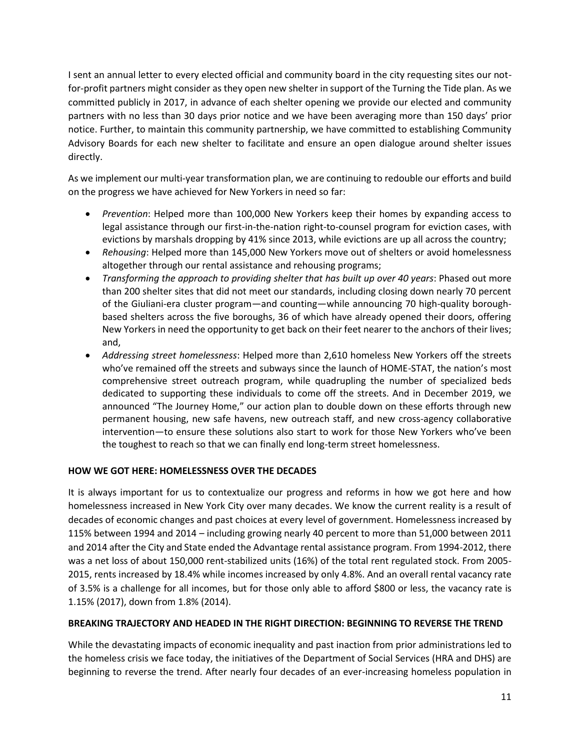I sent an annual letter to every elected official and community board in the city requesting sites our notfor-profit partners might consider as they open new shelter in support of the Turning the Tide plan. As we committed publicly in 2017, in advance of each shelter opening we provide our elected and community partners with no less than 30 days prior notice and we have been averaging more than 150 days' prior notice. Further, to maintain this community partnership, we have committed to establishing Community Advisory Boards for each new shelter to facilitate and ensure an open dialogue around shelter issues directly.

As we implement our multi-year transformation plan, we are continuing to redouble our efforts and build on the progress we have achieved for New Yorkers in need so far:

- *Prevention*: Helped more than 100,000 New Yorkers keep their homes by expanding access to legal assistance through our first-in-the-nation right-to-counsel program for eviction cases, with evictions by marshals dropping by 41% since 2013, while evictions are up all across the country;
- *Rehousing*: Helped more than 145,000 New Yorkers move out of shelters or avoid homelessness altogether through our rental assistance and rehousing programs;
- *Transforming the approach to providing shelter that has built up over 40 years*: Phased out more than 200 shelter sites that did not meet our standards, including closing down nearly 70 percent of the Giuliani-era cluster program—and counting—while announcing 70 high-quality boroughbased shelters across the five boroughs, 36 of which have already opened their doors, offering New Yorkers in need the opportunity to get back on their feet nearer to the anchors of their lives; and,
- *Addressing street homelessness*: Helped more than 2,610 homeless New Yorkers off the streets who've remained off the streets and subways since the launch of HOME-STAT, the nation's most comprehensive street outreach program, while quadrupling the number of specialized beds dedicated to supporting these individuals to come off the streets. And in December 2019, we announced "The Journey Home," our action plan to double down on these efforts through new permanent housing, new safe havens, new outreach staff, and new cross-agency collaborative intervention—to ensure these solutions also start to work for those New Yorkers who've been the toughest to reach so that we can finally end long-term street homelessness.

### **HOW WE GOT HERE: HOMELESSNESS OVER THE DECADES**

It is always important for us to contextualize our progress and reforms in how we got here and how homelessness increased in New York City over many decades. We know the current reality is a result of decades of economic changes and past choices at every level of government. Homelessness increased by 115% between 1994 and 2014 – including growing nearly 40 percent to more than 51,000 between 2011 and 2014 after the City and State ended the Advantage rental assistance program. From 1994-2012, there was a net loss of about 150,000 rent-stabilized units (16%) of the total rent regulated stock. From 2005- 2015, rents increased by 18.4% while incomes increased by only 4.8%. And an overall rental vacancy rate of 3.5% is a challenge for all incomes, but for those only able to afford \$800 or less, the vacancy rate is 1.15% (2017), down from 1.8% (2014).

### **BREAKING TRAJECTORY AND HEADED IN THE RIGHT DIRECTION: BEGINNING TO REVERSE THE TREND**

While the devastating impacts of economic inequality and past inaction from prior administrations led to the homeless crisis we face today, the initiatives of the Department of Social Services (HRA and DHS) are beginning to reverse the trend. After nearly four decades of an ever-increasing homeless population in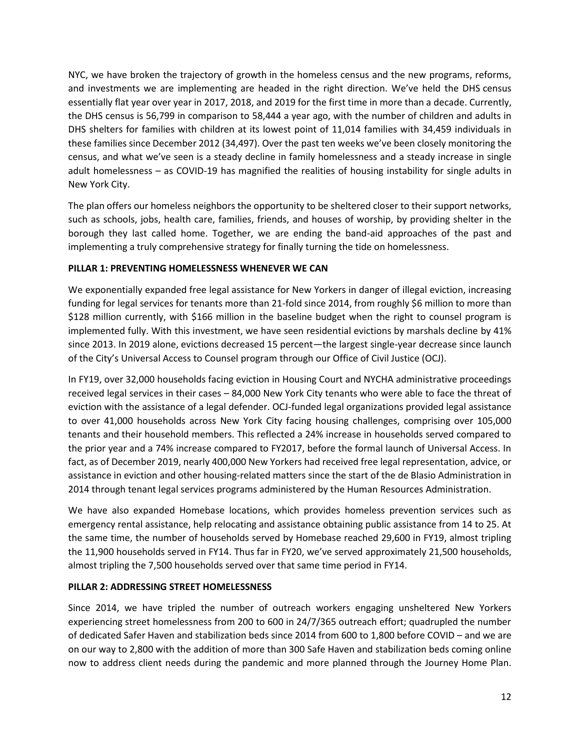NYC, we have broken the trajectory of growth in the homeless census and the new programs, reforms, and investments we are implementing are headed in the right direction. We've held the DHS census essentially flat year over year in 2017, 2018, and 2019 for the first time in more than a decade. Currently, the DHS census is 56,799 in comparison to 58,444 a year ago, with the number of children and adults in DHS shelters for families with children at its lowest point of 11,014 families with 34,459 individuals in these families since December 2012 (34,497). Over the past ten weeks we've been closely monitoring the census, and what we've seen is a steady decline in family homelessness and a steady increase in single adult homelessness – as COVID-19 has magnified the realities of housing instability for single adults in New York City.

The plan offers our homeless neighbors the opportunity to be sheltered closer to their support networks, such as schools, jobs, health care, families, friends, and houses of worship, by providing shelter in the borough they last called home. Together, we are ending the band-aid approaches of the past and implementing a truly comprehensive strategy for finally turning the tide on homelessness.

### **PILLAR 1: PREVENTING HOMELESSNESS WHENEVER WE CAN**

We exponentially expanded free legal assistance for New Yorkers in danger of illegal eviction, increasing funding for legal services for tenants more than 21-fold since 2014, from roughly \$6 million to more than \$128 million currently, with \$166 million in the baseline budget when the right to counsel program is implemented fully. With this investment, we have seen residential evictions by marshals decline by 41% since 2013. In 2019 alone, evictions decreased 15 percent—the largest single-year decrease since launch of the City's Universal Access to Counsel program through our Office of Civil Justice (OCJ).

In FY19, over 32,000 households facing eviction in Housing Court and NYCHA administrative proceedings received legal services in their cases – 84,000 New York City tenants who were able to face the threat of eviction with the assistance of a legal defender. OCJ-funded legal organizations provided legal assistance to over 41,000 households across New York City facing housing challenges, comprising over 105,000 tenants and their household members. This reflected a 24% increase in households served compared to the prior year and a 74% increase compared to FY2017, before the formal launch of Universal Access. In fact, as of December 2019, nearly 400,000 New Yorkers had received free legal representation, advice, or assistance in eviction and other housing-related matters since the start of the de Blasio Administration in 2014 through tenant legal services programs administered by the Human Resources Administration.

We have also expanded Homebase locations, which provides homeless prevention services such as emergency rental assistance, help relocating and assistance obtaining public assistance from 14 to 25. At the same time, the number of households served by Homebase reached 29,600 in FY19, almost tripling the 11,900 households served in FY14. Thus far in FY20, we've served approximately 21,500 households, almost tripling the 7,500 households served over that same time period in FY14.

# **PILLAR 2: ADDRESSING STREET HOMELESSNESS**

Since 2014, we have tripled the number of outreach workers engaging unsheltered New Yorkers experiencing street homelessness from 200 to 600 in 24/7/365 outreach effort; quadrupled the number of dedicated Safer Haven and stabilization beds since 2014 from 600 to 1,800 before COVID – and we are on our way to 2,800 with the addition of more than 300 Safe Haven and stabilization beds coming online now to address client needs during the pandemic and more planned through the Journey Home Plan.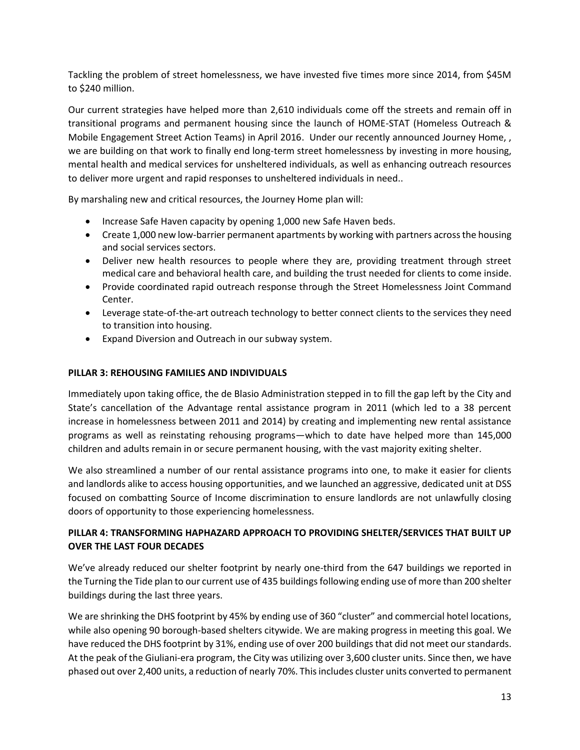Tackling the problem of street homelessness, we have invested five times more since 2014, from \$45M to \$240 million.

Our current strategies have helped more than 2,610 individuals come off the streets and remain off in transitional programs and permanent housing since the launch of HOME-STAT (Homeless Outreach & Mobile Engagement Street Action Teams) in April 2016. Under our recently announced Journey Home, , we are building on that work to finally end long-term street homelessness by investing in more housing, mental health and medical services for unsheltered individuals, as well as enhancing outreach resources to deliver more urgent and rapid responses to unsheltered individuals in need..

By marshaling new and critical resources, the Journey Home plan will:

- Increase Safe Haven capacity by opening 1,000 new Safe Haven beds.
- Create 1,000 new low-barrier permanent apartments by working with partners across the housing and social services sectors.
- Deliver new health resources to people where they are, providing treatment through street medical care and behavioral health care, and building the trust needed for clients to come inside.
- Provide coordinated rapid outreach response through the Street Homelessness Joint Command Center.
- Leverage state-of-the-art outreach technology to better connect clients to the services they need to transition into housing.
- Expand Diversion and Outreach in our subway system.

#### **PILLAR 3: REHOUSING FAMILIES AND INDIVIDUALS**

Immediately upon taking office, the de Blasio Administration stepped in to fill the gap left by the City and State's cancellation of the Advantage rental assistance program in 2011 (which led to a 38 percent increase in homelessness between 2011 and 2014) by creating and implementing new rental assistance programs as well as reinstating rehousing programs—which to date have helped more than 145,000 children and adults remain in or secure permanent housing, with the vast majority exiting shelter.

We also streamlined a number of our rental assistance programs into one, to make it easier for clients and landlords alike to access housing opportunities, and we launched an aggressive, dedicated unit at DSS focused on combatting Source of Income discrimination to ensure landlords are not unlawfully closing doors of opportunity to those experiencing homelessness.

# **PILLAR 4: TRANSFORMING HAPHAZARD APPROACH TO PROVIDING SHELTER/SERVICES THAT BUILT UP OVER THE LAST FOUR DECADES**

We've already reduced our shelter footprint by nearly one-third from the 647 buildings we reported in the Turning the Tide plan to our current use of 435 buildings following ending use of more than 200 shelter buildings during the last three years.

We are shrinking the DHS footprint by 45% by ending use of 360 "cluster" and commercial hotel locations, while also opening 90 borough-based shelters citywide. We are making progress in meeting this goal. We have reduced the DHS footprint by 31%, ending use of over 200 buildings that did not meet our standards. At the peak of the Giuliani-era program, the City was utilizing over 3,600 cluster units. Since then, we have phased out over 2,400 units, a reduction of nearly 70%. This includes cluster units converted to permanent